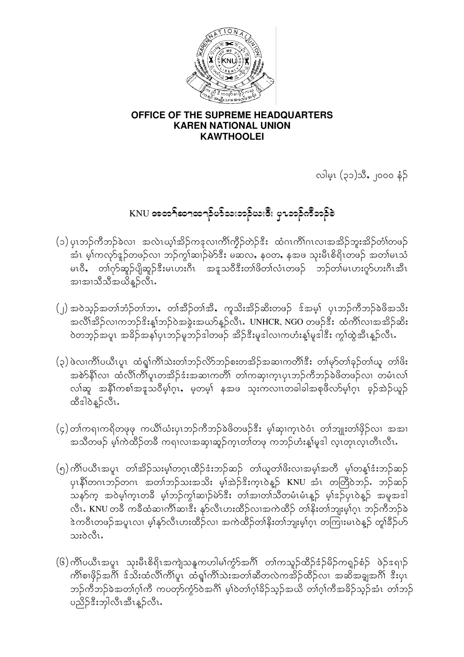

### OFFICE OF THE SUPREME HEADQUARTERS **KAREN NATIONAL UNION KAWTHOOLEI**

လါမ္း (၃၁)သီ, ၂၀၀၀ နံဉ်

# KNU အတ<sup>5</sup>ုဆ႑ထ႑ခ်ိပၥ်သးတခ်ိုယးဒီး ပု႑ဘဉ်ကီဘဉ်ခဲ

- (၁) ပုၤဘဉ်ကီဘဉ်ခဲလ၊ အလဲၤယ္၊်အိဉ်ကဒုလၢကိၢိက္ခ်ိုတဲ့ဉ်ဒီး ထံဂၤကိၢ်ဂၤလၢအအိဉ်ဘူးအိဉ်တံၢ်တဖဉ် အံၤ မ့္ပ်ကလုာ်နဉ်တဖဉ်လ၊ ဘဉ်ကွၤ်ဆၤှာ်မဲာ်ဒီး မဆလ, န၀တ, နအဖ သုးမီၤစိရိၤတဖဉ် အတၤ်မၤသံ မၤ၀ီ, တၢဴဂုာ်ဆူဉ်ပျိဆူဉ်ဒီးမၤပားဂီၤ အဒူသ၀ီဒီးတၢ်ဖိတၢ်လံၤတဖဉ် ဘဉ်တၢ်မၤပားဂူာ်ဟးဂီၤအီၤ အာအာသီသီအယိန္5လီး.
- (၂) အဝဲသူဉ်အတၢ်ဘံဉ်တၢ်ဘၢ, တၢ်အီဉ်တၢ်အီ, ကူသိးအိဉ်ဆိးတဖဉ် ဒ်အမှ၊် ပုၤဘဉ်ကီဘဉ်ခဲဖိအသိး အလိၢိအိဉ်လ၊ကဘဉ် $\hat{s}$ းန္၊်ဘဉ်ဝဲအခွဲးအယာ်န္ဉာလီၤႉ UNHCR, NGO တဖဉ်ဒီး ထံကိၢ်လ၊အအိဉ်ဆိး ဝဲတဘူဉ်အပူၤ အခိဉ်အနှုပ်ုၤဘဉ်မူဘဉ်ဒါတဖဉ် အိဉ်ဒီးမှုဒါလၢကဟံးန္1်မှုဒါဒီး ကွၢ်ထွဲအီၤန္ဉာလီၤႉ
- (၃) ဖဲလ၊ကိၢိပယီၤပူၤ ထံရှၢ်ကိၢ်သဲးတၢ်ဘဉ်လိာဘာဉ်စးတအိဉ်အဆၢကတိၢ်ဒီး တၢ်မှာ်တၢ်ခုဉ်တၢ်ယူ တၢ်ဖိး .<br>အစဲာ်နီၤ်လ၊ ထံလိၤ်ကိၤ်ပူးတအိဉ်ဒံးအဆၢကတိၢ် တၤ်ကဆု၊ကူးပုၤဘဉ်ကီဘဉ်ခဲဖိတဖဉ်လ၊ တမံၤလၤ် လါဆူ အနိ<sup>ု</sup>ကစါအဒူသဝိမ့္ပ်က္၊ မ့တမ့္ပ်ံ နအဖ သုးကလၢၤတခါခါအစုဖိလာ်မ့္ပ်က္၊ ခ့ဉ်အဲဉ်ယူဉ် ထီဒါဝဲနူဉ်လီၤ.
- (၄)တၢ်ကရၢကရိတဖုဖု ကယိၢ်ယံးပုၤဘဉ်ကီဘဉ်ခဲဖိတဖဉ်<sup>နွ</sup>ီး မ့္ပ်ဆု၊က္ၤဝဲဝံၤ တၢ်ဘျုးတၢ်ဖိုဉ်လၢ အအၤ အသိတဖဉ် မ့ၢ်ကဲထိဉ်တခ်ိ ကရၢလၢအဆု၊ဆူဉ်က္ၤတၢ်တဖု ကဘဉ်ဟံးန့၊်မူဒါ လ့ၤတုၤလ္ၤတိၤလီၤႉ
- (၅) ကိၢိပယီၤအပူၤ တၢ်အိဉ်သးမ့္ပ်တဂူၤထိဉ်ဒံးဘဉ်ဆဉ် တျမှာတျဖိးလၢအမ္န၊်အတီ မွှုတန္နုံဒံးဘဉ်ဆဉ် ပု၊နိုါတဂၤဘဉ်တဂၤ အတၢ်ဘဉ်သးအသိး မ့ၢ်အဲ့ဉ်ဒိးက္ၤဝဲန္<sup>ဌ</sup> KNU အံၤ တတြိဝဲဘဉ်ႉ ဘဉ်ဆဉ် သနၥ်က္ အဝဲမ့္ပ်က္၊တခ်ိ မ့္ပ်ာဘုိက္ဂါဆ၊ဉ်မဲ၁်ဒီး တ၊်အ၊တ၊်သီတမံၤမံၤန္ဉာ် မ့္ပ်ာန္ မွ်ာပု၊ဝဲန္၌ အမူအဒါ လီၤ. KNU တခ်ိ ကခ်ိထံဆၢကိၢိဆၢဒိီး နှာ်လီၤဟးထိဉ်လၢအကဲထိဉ် တၢိနိးတၢ်ဘျးမ့ၢ်ဂ့ၤ ဘဉ်ကီဘဉ်ခဲ ဲ့ အတိၤတဖဉ်အပူၤလၢ မ့္ခ်န္ဝလီၤဟးထိဉ်လၢ အကဲထိဉ်တ္ခ်နိုးတ္ခ်ဘူးမ့္ခ်ဂ္ၤ တကြူးမၤ၀ဲန္၌ တူရီခ်ိုပ္ဝ် သးဝဲလီၤ.
- (၆) ကိၢိပယိၤအပူၤ သုးမီၤစိရိၤအကျဲသနူကဟါမၢ်ကွံာ်အဂိၢိ တၢ်ကသူဉ်ထိဉ်ဒံဉ်မိဉ်ကရူဉ်စံဉ် ဖဲဉ်ဒရၢဉ် ကိၢ်စၢဖိုဉ်အဂိၢ် ဒ်သိးထံလိၢ်ကိၢ်ပူၤ ထံရှၢ်ကိၢ်သဲးအတၢ်ဆီတလဲကအိဉ်ထိဉ်လ၊ အဆိအချှအဂိၢ် ဒီးပုၤ ဘဉ်ကီဘဉ်ခဲအတၢ်ဂူ၊်ကိ ကပတုာ်ကွဲ၁်ဝဲအဂိါ မူ၊်ဝဲတၢ်ဂူ၊်ခိဉ်သူဉ်အယိ တၢ်ဂူ၊်ကီအခိဉ်သူဉ်အံၤ တၢ်ဘဉ် ပညိဉ်ဒီးဘုါလီၤအီၤန္ဉ<လီၤ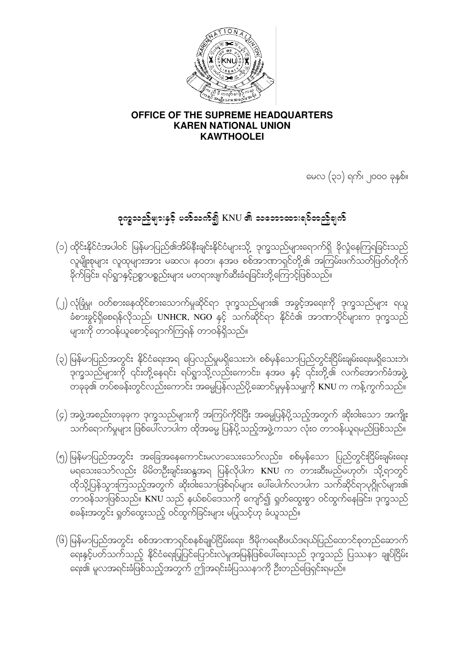

### OFFICE OF THE SUPREME HEADQUARTERS **KAREN NATIONAL UNION KAWTHOOLEI**

မေလ (၃၁) ရက်၊ ၂၀၀၀ ခုနှစ်။

# ခုက္ခသည်များနှင့် ပတ်သက်၍ KNU ၏ သဘောထားရပ်တည်ရက်

- (၁) ထိုင်းနိုင်ငံအပါဝင် မြန်မာပြည်၏အိမ်နီးချင်းနိုင်ငံများသို့ ဒုက္ခသည်များရောက်ရှိ ခိုလှုံနေကြရခြင်းသည် လူမျိုးစုများ လူထုများအား မဆလ၊ နဝတ၊ နအဖ စစ်အာဏာရှင်တို့၏ အကြမ်းဖက်သတ်ဖြတ်တိုက် ခိုက်ခြင်း၊ ရပ်ရွာနှင့်ဉစ္စာပစ္စည်းများ မတရားဖျက်ဆီးခံရခြင်းတို့ကြောင့်ဖြစ်သည်။
- (၂) လုံခြုံမှု၊ ဝတ်စားနေထိုင်စားသောက်မှုဆိုင်ရာ ဒုက္ခသည်များ၏ အခွင့်အရေးကို ဒုက္ခသည်များ ရယူ ခံစားခွင့်ရှိစေရန်လိုသည်၊ UNHCR, NGO နှင့် သက်ဆိုင်ရာ နိုင်ငံ၏ အာဏာပိုင်များက ဒုက္ခသည် များကို တာဝန်ယူစောင့်ရှောက်ကြရန် တာဝန်ရှိသည်။
- (၃) မြန်မာပြည်အတွင်း နိုင်ငံရေးအရ ပြေလည်မှုမရှိသေးဘဲ၊ စစ်မှန်သောပြည်တွင်းငြိမ်းချမ်းရေးမရှိသေးဘဲ၊ —<br>ဒုက္ခသည်များကို ၎င်းတို့နေရင်း ရပ်ရွာသို့လည်းကောင်း၊ နအဖ နှင့် ၎င်းတို့၏ လက်အောက်ခံအဖွဲ့
- (၄) အဖွဲ့အစည်းတခုခုက ဒုက္ခသည်များကို အကြပ်ကိုင်ပြီး အဓမ္မပြန်ပို့သည့်အတွက် ဆိုးဝါးသော အက<mark>ျိုး</mark>
- (၅) မြန်မာပြည်အတွင်း အခြေအနေကောင်းမလာသေးသော်လည်း၊ စစ်မှန်သော ပြည်တွင်းငြိမ်းချမ်းရေး မိရသေးသော်လည်း မိမိတဦးချင်းဆန္ဒအရ ပြန်လိုပါက KNU က တားဆီးမည်မဟုတ်၊ သို့ရာတွင် ထိုသို့ပြန်သွားကြသည့်အတွက် ဆိုးဝါးသောဖြစ်ရပ်များ ပေါ်ပေါက်လာပါက သက်ဆိုင်ရာပုဂ္ဂိုလ်များ၏ စခန်းအတွင်း ရှတ်ထွေးသည့် ဝင်ထွက်ခြင်းများ မပြုသင့်ဟု ခံယူသည်။
- (၆) မြန်မာပြည်အတွင်း စစ်အာဏာရှင်စနစ်ချုပ်ငြိမ်းရေး၊ ဒီမိုကရေစီဖယ်ဒရယ်ပြည်ထောင်စုတည်ဆောက် —-<br>ရေးနှင့်ပတ်သက်သည့် နိုင်ငံရေးပြုပြင်ပြောင်းလဲမှုအမြန်ဖြစ်ပေါ်ရေးသည် ဒုက္ခသည် ပြဿနာ ချုပ်ငြိမ်း ရေး၏ မူလအရင်းခံဖြစ်သည့်အတွက် ဤအရင်းခံပြဿနာကို ဦးတည်ဖြေရှင်းရမည်။